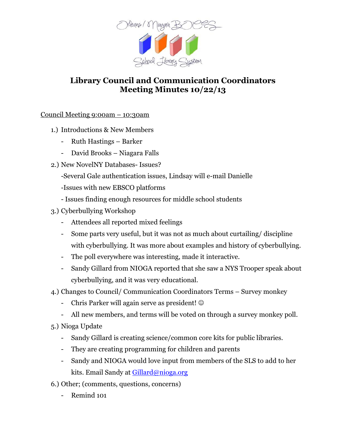

## **Library Council and Communication Coordinators Meeting Minutes 10/22/13**

## Council Meeting 9:00am – 10:30am

- 1.) Introductions & New Members
	- Ruth Hastings Barker
	- David Brooks Niagara Falls
- 2.) New NovelNY Databases- Issues?
	- -Several Gale authentication issues, Lindsay will e-mail Danielle
	- -Issues with new EBSCO platforms
	- Issues finding enough resources for middle school students
- 3.) Cyberbullying Workshop
	- Attendees all reported mixed feelings
	- Some parts very useful, but it was not as much about curtailing/ discipline with cyberbullying. It was more about examples and history of cyberbullying.
	- The poll everywhere was interesting, made it interactive.
	- Sandy Gillard from NIOGA reported that she saw a NYS Trooper speak about cyberbullying, and it was very educational.
- 4.) Changes to Council/ Communication Coordinators Terms Survey monkey
	- Chris Parker will again serve as president! ©
	- All new members, and terms will be voted on through a survey monkey poll.
- 5.) Nioga Update
	- Sandy Gillard is creating science/common core kits for public libraries.
	- They are creating programming for children and parents
	- Sandy and NIOGA would love input from members of the SLS to add to her kits. Email Sandy at [Gillard@nioga.org](mailto:Gillard@nioga.org)
- 6.) Other; (comments, questions, concerns)
	- Remind 101